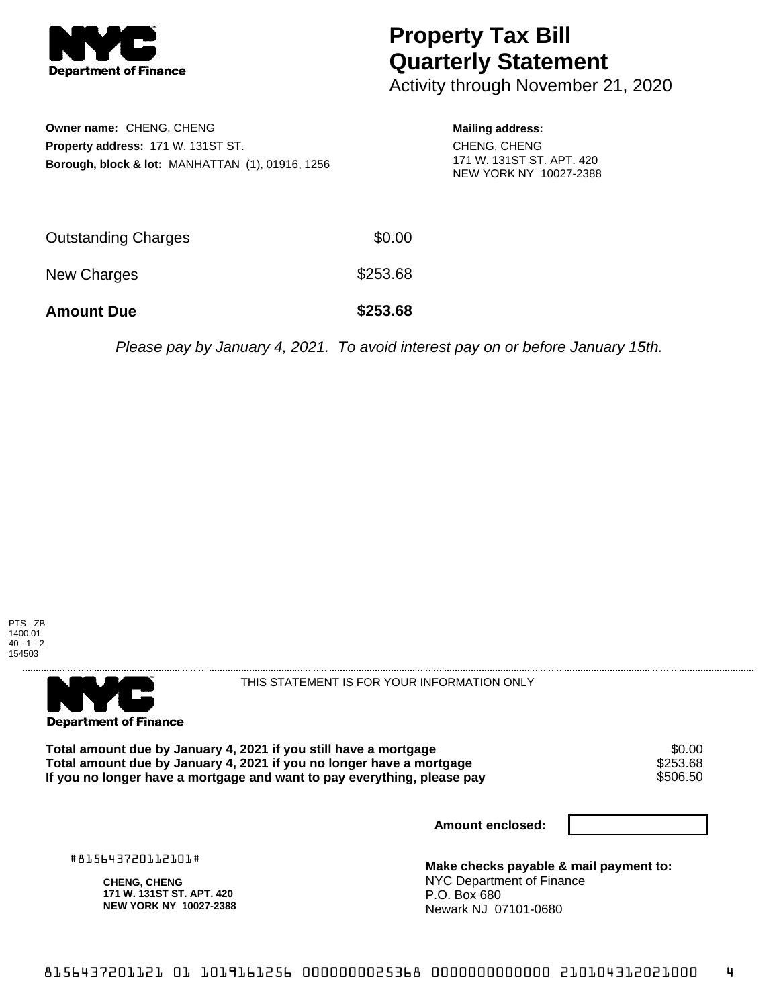

## **Property Tax Bill Quarterly Statement**

Activity through November 21, 2020

| Owner name: CHENG, CHENG                                    |
|-------------------------------------------------------------|
| <b>Property address: 171 W. 131ST ST.</b>                   |
| <b>Borough, block &amp; lot: MANHATTAN (1), 01916, 1256</b> |

## **Mailing address:** CHENG, CHENG 171 W. 131ST ST. APT. 420 NEW YORK NY 10027-2388

| <b>Amount Due</b>   | \$253.68 |
|---------------------|----------|
| New Charges         | \$253.68 |
| Outstanding Charges | \$0.00   |

Please pay by January 4, 2021. To avoid interest pay on or before January 15th.





THIS STATEMENT IS FOR YOUR INFORMATION ONLY

Total amount due by January 4, 2021 if you still have a mortgage  $$0.00$ <br>Total amount due by January 4, 2021 if you no longer have a mortgage  $$253.68$ **Total amount due by January 4, 2021 if you no longer have a mortgage \$253.68<br>If you no longer have a mortgage and want to pay everything, please pay \$506.50** If you no longer have a mortgage and want to pay everything, please pay

**Amount enclosed:**

#815643720112101#

**CHENG, CHENG 171 W. 131ST ST. APT. 420 NEW YORK NY 10027-2388**

**Make checks payable & mail payment to:** NYC Department of Finance P.O. Box 680 Newark NJ 07101-0680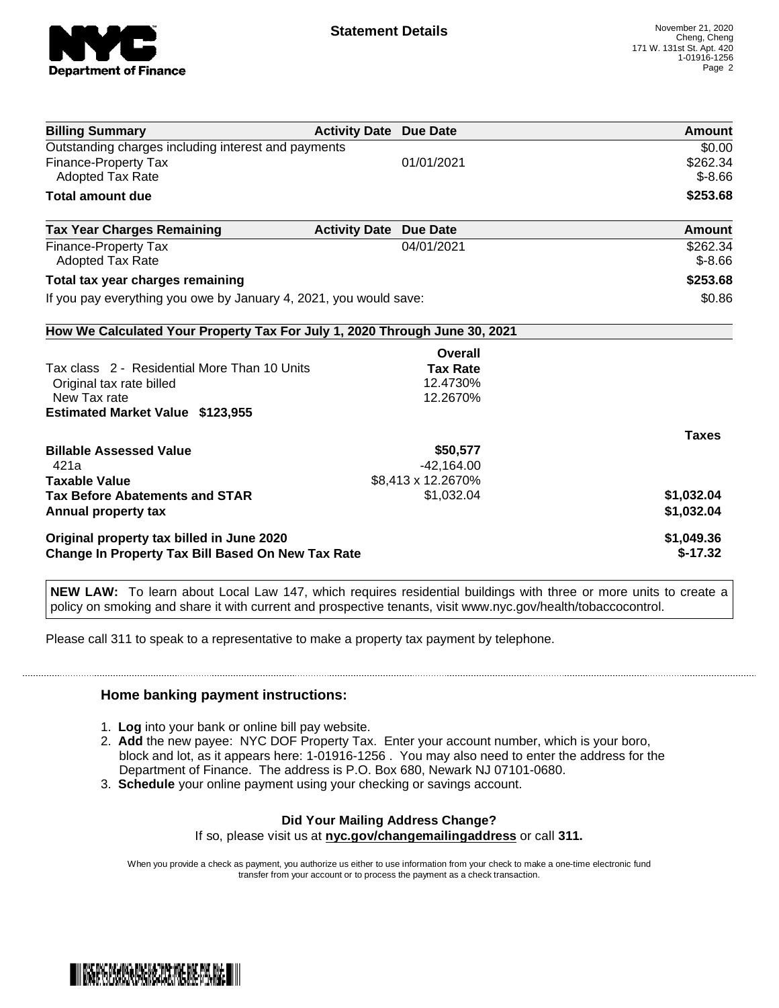

| <b>Billing Summary</b>                                                     | <b>Activity Date Due Date</b> |                    | <b>Amount</b> |
|----------------------------------------------------------------------------|-------------------------------|--------------------|---------------|
| Outstanding charges including interest and payments                        |                               |                    | \$0.00        |
| Finance-Property Tax                                                       |                               | 01/01/2021         | \$262.34      |
| <b>Adopted Tax Rate</b>                                                    |                               |                    | $$ -8.66$     |
| <b>Total amount due</b>                                                    |                               |                    | \$253.68      |
| <b>Tax Year Charges Remaining</b>                                          | <b>Activity Date</b>          | <b>Due Date</b>    | Amount        |
| Finance-Property Tax                                                       |                               | 04/01/2021         | \$262.34      |
| Adopted Tax Rate                                                           |                               |                    | $$-8.66$      |
| Total tax year charges remaining                                           |                               |                    | \$253.68      |
| If you pay everything you owe by January 4, 2021, you would save:          | \$0.86                        |                    |               |
| How We Calculated Your Property Tax For July 1, 2020 Through June 30, 2021 |                               |                    |               |
|                                                                            |                               | Overall            |               |
| Tax class 2 - Residential More Than 10 Units                               |                               | <b>Tax Rate</b>    |               |
| Original tax rate billed                                                   |                               | 12.4730%           |               |
| New Tax rate                                                               |                               | 12.2670%           |               |
| <b>Estimated Market Value \$123,955</b>                                    |                               |                    |               |
|                                                                            |                               |                    | <b>Taxes</b>  |
| <b>Billable Assessed Value</b>                                             |                               | \$50,577           |               |
| 421a                                                                       |                               | $-42,164.00$       |               |
| <b>Taxable Value</b>                                                       |                               | \$8,413 x 12.2670% |               |
| <b>Tax Before Abatements and STAR</b>                                      |                               | \$1,032.04         | \$1,032.04    |
| Annual property tax                                                        |                               |                    | \$1,032.04    |
| Original property tax billed in June 2020                                  |                               |                    | \$1,049.36    |
| <b>Change In Property Tax Bill Based On New Tax Rate</b>                   |                               |                    | $$-17.32$     |

**NEW LAW:** To learn about Local Law 147, which requires residential buildings with three or more units to create a policy on smoking and share it with current and prospective tenants, visit www.nyc.gov/health/tobaccocontrol.

Please call 311 to speak to a representative to make a property tax payment by telephone.

## **Home banking payment instructions:**

- 1. **Log** into your bank or online bill pay website.
- 2. **Add** the new payee: NYC DOF Property Tax. Enter your account number, which is your boro, block and lot, as it appears here: 1-01916-1256 . You may also need to enter the address for the Department of Finance. The address is P.O. Box 680, Newark NJ 07101-0680.
- 3. **Schedule** your online payment using your checking or savings account.

## **Did Your Mailing Address Change?**

If so, please visit us at **nyc.gov/changemailingaddress** or call **311.**

When you provide a check as payment, you authorize us either to use information from your check to make a one-time electronic fund transfer from your account or to process the payment as a check transaction.